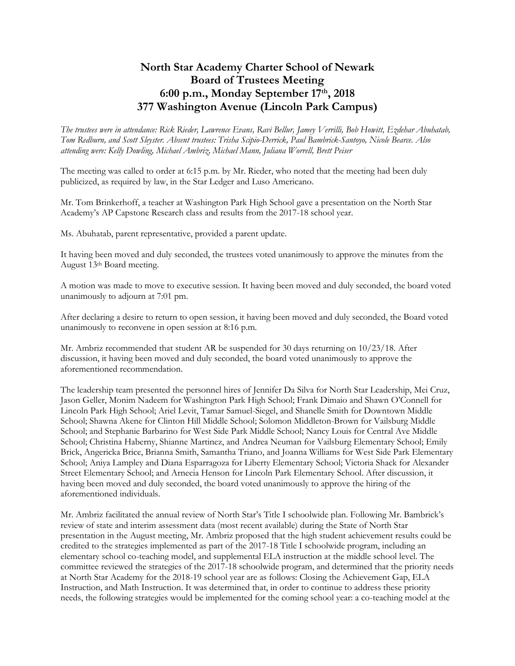## **North Star Academy Charter School of Newark Board of Trustees Meeting 6:00 p.m., Monday September 17th, 2018 377 Washington Avenue (Lincoln Park Campus)**

*The trustees were in attendance: Rick Rieder, Lawrence Evans, Ravi Bellur, Jamey Verrilli, Bob Howitt, Ezdehar Abuhatab, Tom Redburn, and Scott Sleyster. Absent trustees: Trisha Scipio-Derrick, Paul Bambrick-Santoyo, Nicole Bearce. Also attending were: Kelly Dowling, Michael Ambriz, Michael Mann, Juliana Worrell, Brett Peiser*

The meeting was called to order at 6:15 p.m. by Mr. Rieder, who noted that the meeting had been duly publicized, as required by law, in the Star Ledger and Luso Americano.

Mr. Tom Brinkerhoff, a teacher at Washington Park High School gave a presentation on the North Star Academy's AP Capstone Research class and results from the 2017-18 school year.

Ms. Abuhatab, parent representative, provided a parent update.

It having been moved and duly seconded, the trustees voted unanimously to approve the minutes from the August 13th Board meeting.

A motion was made to move to executive session. It having been moved and duly seconded, the board voted unanimously to adjourn at 7:01 pm.

After declaring a desire to return to open session, it having been moved and duly seconded, the Board voted unanimously to reconvene in open session at 8:16 p.m.

Mr. Ambriz recommended that student AR be suspended for 30 days returning on 10/23/18. After discussion, it having been moved and duly seconded, the board voted unanimously to approve the aforementioned recommendation.

The leadership team presented the personnel hires of Jennifer Da Silva for North Star Leadership, Mei Cruz, Jason Geller, Monim Nadeem for Washington Park High School; Frank Dimaio and Shawn O'Connell for Lincoln Park High School; Ariel Levit, Tamar Samuel-Siegel, and Shanelle Smith for Downtown Middle School; Shawna Akene for Clinton Hill Middle School; Solomon Middleton-Brown for Vailsburg Middle School; and Stephanie Barbarino for West Side Park Middle School; Nancy Louis for Central Ave Middle School; Christina Haberny, Shianne Martinez, and Andrea Neuman for Vailsburg Elementary School; Emily Brick, Angericka Brice, Brianna Smith, Samantha Triano, and Joanna Williams for West Side Park Elementary School; Aniya Lampley and Diana Esparragoza for Liberty Elementary School; Victoria Shack for Alexander Street Elementary School; and Arnecia Henson for Lincoln Park Elementary School. After discussion, it having been moved and duly seconded, the board voted unanimously to approve the hiring of the aforementioned individuals.

Mr. Ambriz facilitated the annual review of North Star's Title I schoolwide plan. Following Mr. Bambrick's review of state and interim assessment data (most recent available) during the State of North Star presentation in the August meeting, Mr. Ambriz proposed that the high student achievement results could be credited to the strategies implemented as part of the 2017-18 Title I schoolwide program, including an elementary school co-teaching model, and supplemental ELA instruction at the middle school level. The committee reviewed the strategies of the 2017-18 schoolwide program, and determined that the priority needs at North Star Academy for the 2018-19 school year are as follows: Closing the Achievement Gap, ELA Instruction, and Math Instruction. It was determined that, in order to continue to address these priority needs, the following strategies would be implemented for the coming school year: a co-teaching model at the